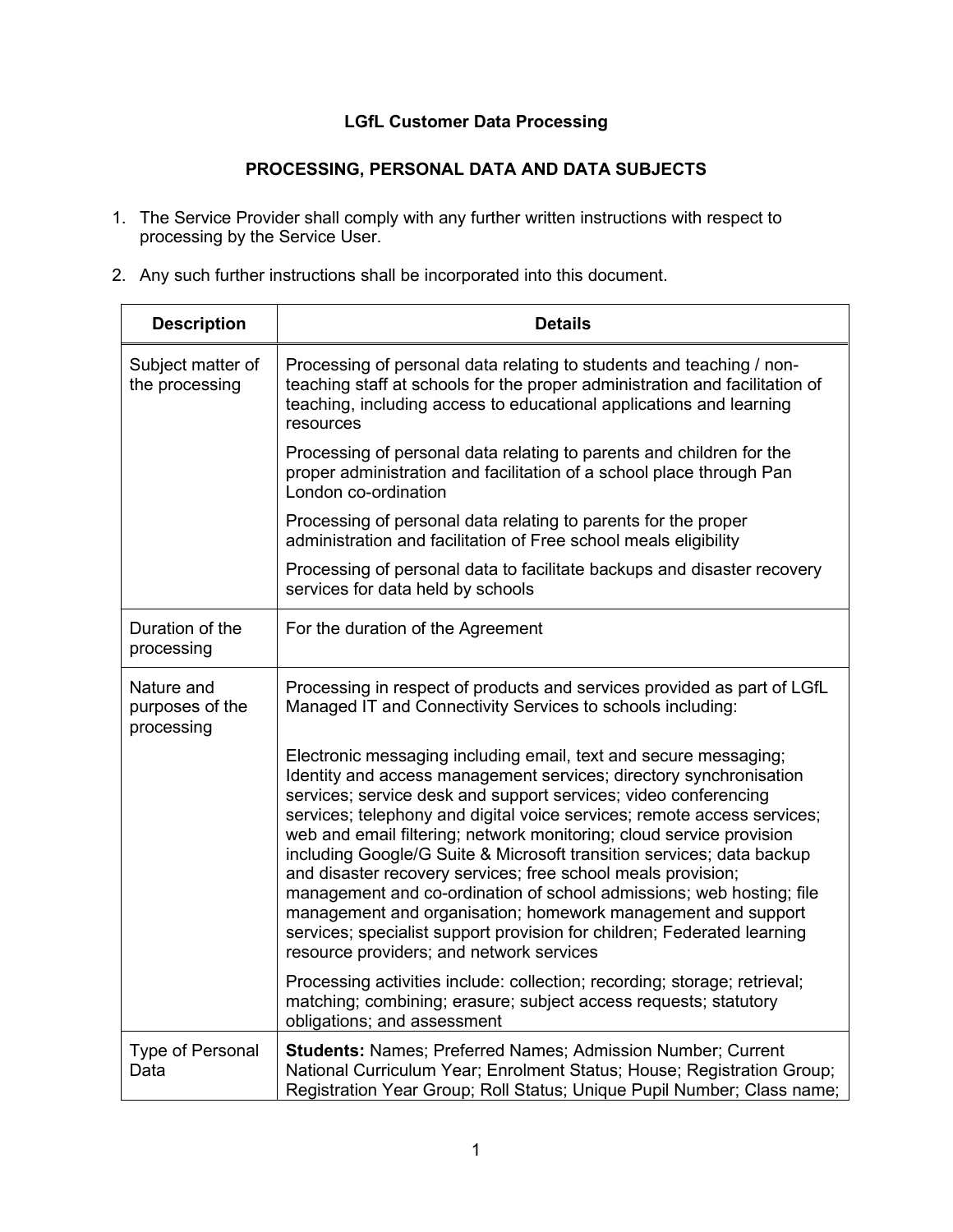## **LGfL Customer Data Processing**

## **PROCESSING, PERSONAL DATA AND DATA SUBJECTS**

- 1. The Service Provider shall comply with any further written instructions with respect to processing by the Service User.
- 2. Any such further instructions shall be incorporated into this document.

| <b>Description</b>                          | <b>Details</b>                                                                                                                                                                                                                                                                                                                                                                                                                                                                                                                                                                                                                                                                                                                                                       |
|---------------------------------------------|----------------------------------------------------------------------------------------------------------------------------------------------------------------------------------------------------------------------------------------------------------------------------------------------------------------------------------------------------------------------------------------------------------------------------------------------------------------------------------------------------------------------------------------------------------------------------------------------------------------------------------------------------------------------------------------------------------------------------------------------------------------------|
| Subject matter of<br>the processing         | Processing of personal data relating to students and teaching / non-<br>teaching staff at schools for the proper administration and facilitation of<br>teaching, including access to educational applications and learning<br>resources                                                                                                                                                                                                                                                                                                                                                                                                                                                                                                                              |
|                                             | Processing of personal data relating to parents and children for the<br>proper administration and facilitation of a school place through Pan<br>London co-ordination                                                                                                                                                                                                                                                                                                                                                                                                                                                                                                                                                                                                 |
|                                             | Processing of personal data relating to parents for the proper<br>administration and facilitation of Free school meals eligibility                                                                                                                                                                                                                                                                                                                                                                                                                                                                                                                                                                                                                                   |
|                                             | Processing of personal data to facilitate backups and disaster recovery<br>services for data held by schools                                                                                                                                                                                                                                                                                                                                                                                                                                                                                                                                                                                                                                                         |
| Duration of the<br>processing               | For the duration of the Agreement                                                                                                                                                                                                                                                                                                                                                                                                                                                                                                                                                                                                                                                                                                                                    |
| Nature and<br>purposes of the<br>processing | Processing in respect of products and services provided as part of LGfL<br>Managed IT and Connectivity Services to schools including:                                                                                                                                                                                                                                                                                                                                                                                                                                                                                                                                                                                                                                |
|                                             | Electronic messaging including email, text and secure messaging;<br>Identity and access management services; directory synchronisation<br>services; service desk and support services; video conferencing<br>services; telephony and digital voice services; remote access services;<br>web and email filtering; network monitoring; cloud service provision<br>including Google/G Suite & Microsoft transition services; data backup<br>and disaster recovery services; free school meals provision;<br>management and co-ordination of school admissions; web hosting; file<br>management and organisation; homework management and support<br>services; specialist support provision for children; Federated learning<br>resource providers; and network services |
|                                             | Processing activities include: collection; recording; storage; retrieval;<br>matching; combining; erasure; subject access requests; statutory<br>obligations; and assessment                                                                                                                                                                                                                                                                                                                                                                                                                                                                                                                                                                                         |
| <b>Type of Personal</b><br>Data             | Students: Names; Preferred Names; Admission Number; Current<br>National Curriculum Year; Enrolment Status; House; Registration Group;<br>Registration Year Group; Roll Status; Unique Pupil Number; Class name;                                                                                                                                                                                                                                                                                                                                                                                                                                                                                                                                                      |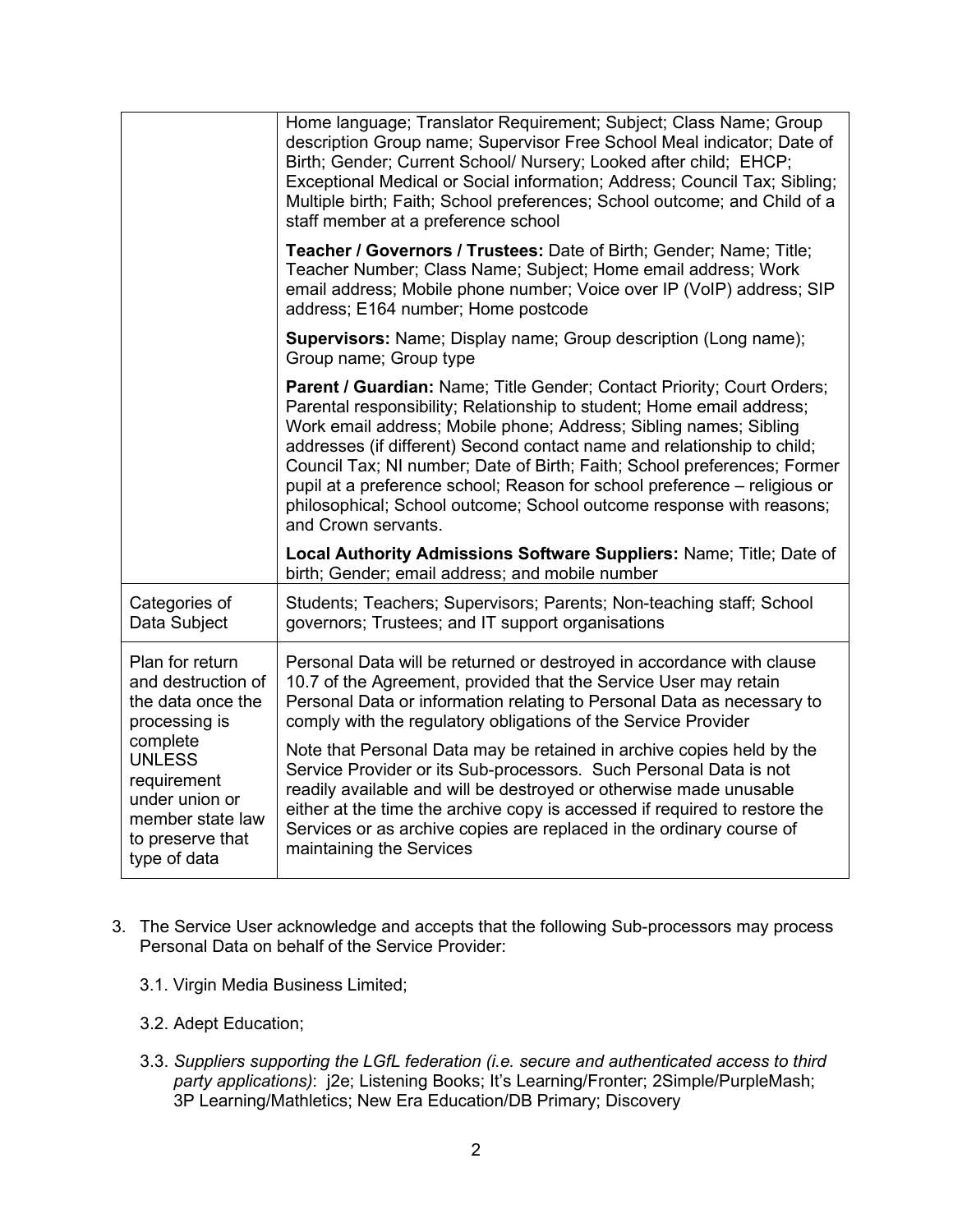|                                                                                                                                                                                                   | Home language; Translator Requirement; Subject; Class Name; Group<br>description Group name; Supervisor Free School Meal indicator; Date of<br>Birth; Gender; Current School/ Nursery; Looked after child; EHCP;<br>Exceptional Medical or Social information; Address; Council Tax; Sibling;<br>Multiple birth; Faith; School preferences; School outcome; and Child of a<br>staff member at a preference school                                                                                                                                       |
|---------------------------------------------------------------------------------------------------------------------------------------------------------------------------------------------------|---------------------------------------------------------------------------------------------------------------------------------------------------------------------------------------------------------------------------------------------------------------------------------------------------------------------------------------------------------------------------------------------------------------------------------------------------------------------------------------------------------------------------------------------------------|
|                                                                                                                                                                                                   | <b>Teacher / Governors / Trustees: Date of Birth; Gender; Name; Title;</b><br>Teacher Number; Class Name; Subject; Home email address; Work<br>email address; Mobile phone number; Voice over IP (VoIP) address; SIP<br>address; E164 number; Home postcode                                                                                                                                                                                                                                                                                             |
|                                                                                                                                                                                                   | Supervisors: Name; Display name; Group description (Long name);<br>Group name; Group type                                                                                                                                                                                                                                                                                                                                                                                                                                                               |
|                                                                                                                                                                                                   | Parent / Guardian: Name; Title Gender; Contact Priority; Court Orders;<br>Parental responsibility; Relationship to student; Home email address;<br>Work email address; Mobile phone; Address; Sibling names; Sibling<br>addresses (if different) Second contact name and relationship to child;<br>Council Tax; NI number; Date of Birth; Faith; School preferences; Former<br>pupil at a preference school; Reason for school preference - religious or<br>philosophical; School outcome; School outcome response with reasons;<br>and Crown servants. |
|                                                                                                                                                                                                   | Local Authority Admissions Software Suppliers: Name; Title; Date of<br>birth; Gender; email address; and mobile number                                                                                                                                                                                                                                                                                                                                                                                                                                  |
| Categories of<br>Data Subject                                                                                                                                                                     | Students; Teachers; Supervisors; Parents; Non-teaching staff; School<br>governors; Trustees; and IT support organisations                                                                                                                                                                                                                                                                                                                                                                                                                               |
| Plan for return<br>and destruction of<br>the data once the<br>processing is<br>complete<br><b>UNLESS</b><br>requirement<br>under union or<br>member state law<br>to preserve that<br>type of data | Personal Data will be returned or destroyed in accordance with clause<br>10.7 of the Agreement, provided that the Service User may retain<br>Personal Data or information relating to Personal Data as necessary to<br>comply with the regulatory obligations of the Service Provider                                                                                                                                                                                                                                                                   |
|                                                                                                                                                                                                   | Note that Personal Data may be retained in archive copies held by the<br>Service Provider or its Sub-processors. Such Personal Data is not<br>readily available and will be destroyed or otherwise made unusable<br>either at the time the archive copy is accessed if required to restore the<br>Services or as archive copies are replaced in the ordinary course of<br>maintaining the Services                                                                                                                                                      |

- 3. The Service User acknowledge and accepts that the following Sub-processors may process Personal Data on behalf of the Service Provider:
	- 3.1. Virgin Media Business Limited;
	- 3.2. Adept Education;
	- 3.3. *Suppliers supporting the LGfL federation (i.e. secure and authenticated access to third party applications)*: j2e; Listening Books; It's Learning/Fronter; 2Simple/PurpleMash; 3P Learning/Mathletics; New Era Education/DB Primary; Discovery